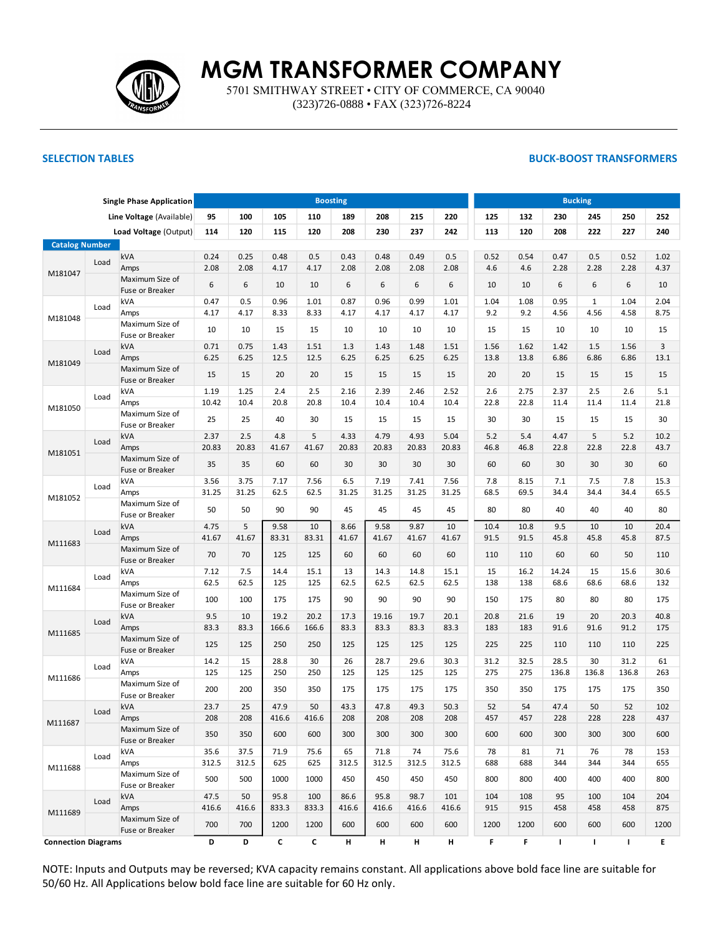

5701 SMITHWAY STREET • CITY OF COMMERCE, CA 90040 (323)726-0888 • FAX (323)726-8224

## **SELECTION TABLES BUCK-BOOST TRANSFORMERS**

| <b>Single Phase Application</b> |      |                                    |       |              |              | <b>Boosting</b> |       |               |       | <b>Bucking</b> |      |              |              |              |       |      |  |  |
|---------------------------------|------|------------------------------------|-------|--------------|--------------|-----------------|-------|---------------|-------|----------------|------|--------------|--------------|--------------|-------|------|--|--|
|                                 |      | Line Voltage (Available)           | 95    | 100          | 105          | 110             | 189   | 208           | 215   | 220            | 125  | 132          | 230          | 245          | 250   | 252  |  |  |
|                                 |      | Load Voltage (Output)              | 114   | 120          | 115          | 120             | 208   | 230           | 237   | 242            | 113  | 120          | 208          | 222          | 227   | 240  |  |  |
| <b>Catalog Number</b>           |      |                                    |       |              |              |                 |       |               |       |                |      |              |              |              |       |      |  |  |
|                                 | Load | kVA                                | 0.24  | 0.25         | 0.48         | 0.5             | 0.43  | 0.48          | 0.49  | 0.5            | 0.52 | 0.54         | 0.47         | 0.5          | 0.52  | 1.02 |  |  |
| M181047                         |      | Amps                               | 2.08  | 2.08         | 4.17         | 4.17            | 2.08  | 2.08          | 2.08  | 2.08           | 4.6  | 4.6          | 2.28         | 2.28         | 2.28  | 4.37 |  |  |
|                                 |      | Maximum Size of<br>Fuse or Breaker | 6     | 6            | 10           | 10              | 6     | 6             | 6     | 6              | 10   | 10           | 6            | 6            | 6     | 10   |  |  |
|                                 | Load | <b>kVA</b>                         | 0.47  | 0.5          | 0.96         | 1.01            | 0.87  | 0.96          | 0.99  | 1.01           | 1.04 | 1.08         | 0.95         | $\mathbf{1}$ | 1.04  | 2.04 |  |  |
| M181048                         |      | Amps<br>Maximum Size of            | 4.17  | 4.17         | 8.33         | 8.33            | 4.17  | 4.17          | 4.17  | 4.17           | 9.2  | 9.2          | 4.56         | 4.56         | 4.58  | 8.75 |  |  |
|                                 |      | Fuse or Breaker                    | 10    | 10           | 15           | 15              | 10    | 10            | 10    | 10             | 15   | 15           | 10           | 10           | 10    | 15   |  |  |
|                                 | Load | kVA                                | 0.71  | 0.75         | 1.43         | 1.51            | 1.3   | 1.43          | 1.48  | 1.51           | 1.56 | 1.62         | 1.42         | 1.5          | 1.56  | 3    |  |  |
| M181049                         |      | Amps                               | 6.25  | 6.25         | 12.5         | 12.5            | 6.25  | 6.25          | 6.25  | 6.25           | 13.8 | 13.8         | 6.86         | 6.86         | 6.86  | 13.1 |  |  |
|                                 |      | Maximum Size of<br>Fuse or Breaker | 15    | 15           | 20           | 20              | 15    | 15            | 15    | 15             | 20   | 20           | 15           | 15           | 15    | 15   |  |  |
|                                 | Load | kVA                                | 1.19  | 1.25         | 2.4          | 2.5             | 2.16  | 2.39          | 2.46  | 2.52           | 2.6  | 2.75         | 2.37         | 2.5          | 2.6   | 5.1  |  |  |
| M181050                         |      | Amps                               | 10.42 | 10.4         | 20.8         | 20.8            | 10.4  | 10.4          | 10.4  | 10.4           | 22.8 | 22.8         | 11.4         | 11.4         | 11.4  | 21.8 |  |  |
|                                 |      | Maximum Size of<br>Fuse or Breaker | 25    | 25           | 40           | 30              | 15    | 15            | 15    | 15             | 30   | 30           | 15           | 15           | 15    | 30   |  |  |
| Load                            |      | kVA                                | 2.37  | 2.5          | 4.8          | 5               | 4.33  | 4.79          | 4.93  | 5.04           | 5.2  | 5.4          | 4.47         | 5            | 5.2   | 10.2 |  |  |
| M181051                         |      | Amps                               | 20.83 | 20.83        | 41.67        | 41.67           | 20.83 | 20.83         | 20.83 | 20.83          | 46.8 | 46.8         | 22.8         | 22.8         | 22.8  | 43.7 |  |  |
|                                 |      | Maximum Size of<br>Fuse or Breaker | 35    | 35           | 60           | 60              | 30    | 30            | 30    | 30             | 60   | 60           | 30           | 30           | 30    | 60   |  |  |
|                                 | Load | kVA                                | 3.56  | 3.75         | 7.17         | 7.56            | 6.5   | 7.19          | 7.41  | 7.56           | 7.8  | 8.15         | 7.1          | 7.5          | 7.8   | 15.3 |  |  |
| M181052                         |      | Amps                               | 31.25 | 31.25        | 62.5         | 62.5            | 31.25 | 31.25         | 31.25 | 31.25          | 68.5 | 69.5         | 34.4         | 34.4         | 34.4  | 65.5 |  |  |
|                                 |      | Maximum Size of<br>Fuse or Breaker | 50    | 50           | 90           | 90              | 45    | 45            | 45    | 45             | 80   | 80           | 40           | 40           | 40    | 80   |  |  |
|                                 | Load | kVA                                | 4.75  | 5            | 9.58         | 10              | 8.66  | 9.58          | 9.87  | 10             | 10.4 | 10.8         | 9.5          | 10           | 10    | 20.4 |  |  |
| M111683                         |      | Amps                               | 41.67 | 41.67        | 83.31        | 83.31           | 41.67 | 41.67         | 41.67 | 41.67          | 91.5 | 91.5         | 45.8         | 45.8         | 45.8  | 87.5 |  |  |
|                                 |      | Maximum Size of<br>Fuse or Breaker | 70    | 70           | 125          | 125             | 60    | 60            | 60    | 60             | 110  | 110          | 60           | 60           | 50    | 110  |  |  |
|                                 | Load | kVA                                | 7.12  | 7.5          | 14.4         | 15.1            | 13    | 14.3          | 14.8  | 15.1           | 15   | 16.2         | 14.24        | 15           | 15.6  | 30.6 |  |  |
| M111684                         |      | Amps                               | 62.5  | 62.5         | 125          | 125             | 62.5  | 62.5          | 62.5  | 62.5           | 138  | 138          | 68.6         | 68.6         | 68.6  | 132  |  |  |
|                                 |      | Maximum Size of<br>Fuse or Breaker | 100   | 100          | 175          | 175             | 90    | 90            | 90    | 90             | 150  | 175          | 80           | 80           | 80    | 175  |  |  |
|                                 | Load | kVA                                | 9.5   | 10           | 19.2         | 20.2            | 17.3  | 19.16         | 19.7  | 20.1           | 20.8 | 21.6         | 19           | 20           | 20.3  | 40.8 |  |  |
| M111685                         |      | Amps                               | 83.3  | 83.3         | 166.6        | 166.6           | 83.3  | 83.3          | 83.3  | 83.3           | 183  | 183          | 91.6         | 91.6         | 91.2  | 175  |  |  |
|                                 |      | Maximum Size of<br>Fuse or Breaker | 125   | 125          | 250          | 250             | 125   | 125           | 125   | 125            | 225  | 225          | 110          | 110          | 110   | 225  |  |  |
|                                 | Load | kVA                                | 14.2  | 15           | 28.8         | 30              | 26    | 28.7          | 29.6  | 30.3           | 31.2 | 32.5         | 28.5         | 30           | 31.2  | 61   |  |  |
| M111686                         |      | Amps                               | 125   | 125          | 250          | 250             | 125   | 125           | 125   | 125            | 275  | 275          | 136.8        | 136.8        | 136.8 | 263  |  |  |
|                                 |      | Maximum Size of<br>Fuse or Breaker | 200   | 200          | 350          | 350             | 175   | 175           | 175   | 175            | 350  | 350          | 175          | 175          | 175   | 350  |  |  |
|                                 | Load | kVA                                | 23.7  | 25           | 47.9         | 50              | 43.3  | 47.8          | 49.3  | 50.3           | 52   | 54           | 47.4         | 50           | 52    | 102  |  |  |
| M111687                         |      | Amps                               | 208   | 208          | 416.6        | 416.6           | 208   | 208           | 208   | 208            | 457  | 457          | 228          | 228          | 228   | 437  |  |  |
|                                 |      | Maximum Size of<br>Fuse or Breaker | 350   | 350          | 600          | 600             | 300   | 300           | 300   | 300            | 600  | 600          | 300          | 300          | 300   | 600  |  |  |
|                                 | Load | kVA                                | 35.6  | 37.5         | 71.9         | 75.6            | 65    | 71.8          | 74    | 75.6           | 78   | 81           | 71           | 76           | 78    | 153  |  |  |
| M111688                         |      | Amps                               | 312.5 | 312.5        | 625          | 625             | 312.5 | 312.5         | 312.5 | 312.5          | 688  | 688          | 344          | 344          | 344   | 655  |  |  |
|                                 |      | Maximum Size of<br>Fuse or Breaker | 500   | 500          | 1000         | 1000            | 450   | 450           | 450   | 450            | 800  | 800          | 400          | 400          | 400   | 800  |  |  |
|                                 | Load | kVA                                | 47.5  | 50           | 95.8         | 100             | 86.6  | 95.8          | 98.7  | 101            | 104  | 108          | 95           | 100          | 104   | 204  |  |  |
| M111689                         |      | Amps                               | 416.6 | 416.6        | 833.3        | 833.3           | 416.6 | 416.6         | 416.6 | 416.6          | 915  | 915          | 458          | 458          | 458   | 875  |  |  |
|                                 |      | Maximum Size of<br>Fuse or Breaker | 700   | 700          | 1200         | 1200            | 600   | 600           | 600   | 600            | 1200 | 1200         | 600          | 600          | 600   | 1200 |  |  |
| <b>Connection Diagrams</b>      |      | D                                  | D     | $\mathbf{c}$ | $\mathbf{c}$ | H               | H     | $\mathbf H$ . | H     | F.             | F.   | $\mathbf{L}$ | $\mathbf{I}$ | $\mathbf{I}$ | E.    |      |  |  |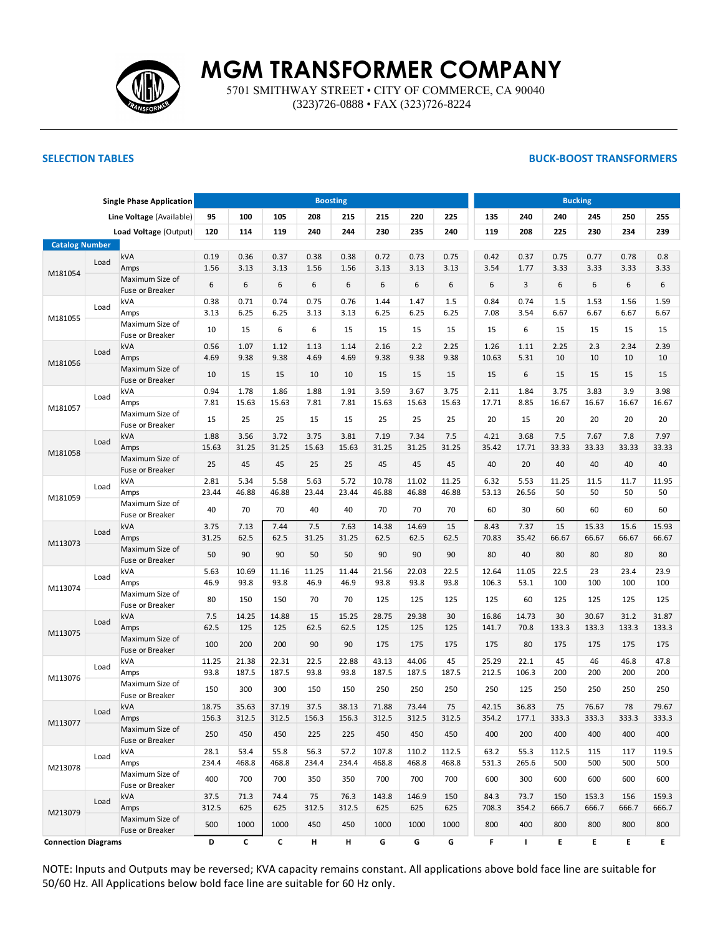

5701 SMITHWAY STREET • CITY OF COMMERCE, CA 90040 (323)726-0888 • FAX (323)726-8224

## **SELECTION TABLES BUCK-BOOST TRANSFORMERS**

| <b>Single Phase Application</b> |      |                                    |       |       |       |                | <b>Boosting</b> |       |       |       | <b>Bucking</b> |       |       |       |       |       |  |  |  |
|---------------------------------|------|------------------------------------|-------|-------|-------|----------------|-----------------|-------|-------|-------|----------------|-------|-------|-------|-------|-------|--|--|--|
|                                 |      | Line Voltage (Available)           | 95    | 100   | 105   | 208            | 215             | 215   | 220   | 225   | 135            | 240   | 240   | 245   | 250   | 255   |  |  |  |
|                                 |      | Load Voltage (Output)              | 120   | 114   | 119   | 240            | 244             | 230   | 235   | 240   | 119            | 208   | 225   | 230   | 234   | 239   |  |  |  |
| <b>Catalog Number</b>           |      |                                    |       |       |       |                |                 |       |       |       |                |       |       |       |       |       |  |  |  |
|                                 | Load | kVA                                | 0.19  | 0.36  | 0.37  | 0.38           | 0.38            | 0.72  | 0.73  | 0.75  | 0.42           | 0.37  | 0.75  | 0.77  | 0.78  | 0.8   |  |  |  |
| M181054                         |      | Amps                               | 1.56  | 3.13  | 3.13  | 1.56           | 1.56            | 3.13  | 3.13  | 3.13  | 3.54           | 1.77  | 3.33  | 3.33  | 3.33  | 3.33  |  |  |  |
|                                 |      | Maximum Size of<br>Fuse or Breaker | 6     | 6     | 6     | 6              | 6               | 6     | 6     | 6     | 6              | 3     | 6     | 6     | 6     | 6     |  |  |  |
|                                 | Load | kVA                                | 0.38  | 0.71  | 0.74  | 0.75           | 0.76            | 1.44  | 1.47  | 1.5   | 0.84           | 0.74  | 1.5   | 1.53  | 1.56  | 1.59  |  |  |  |
| M181055                         |      | Amps                               | 3.13  | 6.25  | 6.25  | 3.13           | 3.13            | 6.25  | 6.25  | 6.25  | 7.08           | 3.54  | 6.67  | 6.67  | 6.67  | 6.67  |  |  |  |
|                                 |      | Maximum Size of<br>Fuse or Breaker | 10    | 15    | 6     | 6              | 15              | 15    | 15    | 15    | 15             | 6     | 15    | 15    | 15    | 15    |  |  |  |
|                                 | Load | kVA                                | 0.56  | 1.07  | 1.12  | 1.13           | 1.14            | 2.16  | 2.2   | 2.25  | 1.26           | 1.11  | 2.25  | 2.3   | 2.34  | 2.39  |  |  |  |
| M181056                         |      | Amps                               | 4.69  | 9.38  | 9.38  | 4.69           | 4.69            | 9.38  | 9.38  | 9.38  | 10.63          | 5.31  | 10    | 10    | 10    | 10    |  |  |  |
|                                 |      | Maximum Size of<br>Fuse or Breaker | 10    | 15    | 15    | 10             | 10              | 15    | 15    | 15    | 15             | 6     | 15    | 15    | 15    | 15    |  |  |  |
|                                 | Load | kVA                                | 0.94  | 1.78  | 1.86  | 1.88           | 1.91            | 3.59  | 3.67  | 3.75  | 2.11           | 1.84  | 3.75  | 3.83  | 3.9   | 3.98  |  |  |  |
| M181057                         |      | Amps                               | 7.81  | 15.63 | 15.63 | 7.81           | 7.81            | 15.63 | 15.63 | 15.63 | 17.71          | 8.85  | 16.67 | 16.67 | 16.67 | 16.67 |  |  |  |
|                                 |      | Maximum Size of<br>Fuse or Breaker | 15    | 25    | 25    | 15             | 15              | 25    | 25    | 25    | 20             | 15    | 20    | 20    | 20    | 20    |  |  |  |
|                                 | Load | kVA                                | 1.88  | 3.56  | 3.72  | 3.75           | 3.81            | 7.19  | 7.34  | 7.5   | 4.21           | 3.68  | 7.5   | 7.67  | 7.8   | 7.97  |  |  |  |
| M181058                         |      | Amps                               | 15.63 | 31.25 | 31.25 | 15.63          | 15.63           | 31.25 | 31.25 | 31.25 | 35.42          | 17.71 | 33.33 | 33.33 | 33.33 | 33.33 |  |  |  |
|                                 |      | Maximum Size of<br>Fuse or Breaker | 25    | 45    | 45    | 25             | 25              | 45    | 45    | 45    | 40             | 20    | 40    | 40    | 40    | 40    |  |  |  |
| M181059                         | Load | kVA                                | 2.81  | 5.34  | 5.58  | 5.63           | 5.72            | 10.78 | 11.02 | 11.25 | 6.32           | 5.53  | 11.25 | 11.5  | 11.7  | 11.95 |  |  |  |
|                                 |      | Amps                               | 23.44 | 46.88 | 46.88 | 23.44          | 23.44           | 46.88 | 46.88 | 46.88 | 53.13          | 26.56 | 50    | 50    | 50    | 50    |  |  |  |
|                                 |      | Maximum Size of<br>Fuse or Breaker | 40    | 70    | 70    | 40             | 40              | 70    | 70    | 70    | 60             | 30    | 60    | 60    | 60    | 60    |  |  |  |
|                                 | Load | kVA                                | 3.75  | 7.13  | 7.44  | 7.5            | 7.63            | 14.38 | 14.69 | 15    | 8.43           | 7.37  | 15    | 15.33 | 15.6  | 15.93 |  |  |  |
| M113073                         |      | Amps                               | 31.25 | 62.5  | 62.5  | 31.25          | 31.25           | 62.5  | 62.5  | 62.5  | 70.83          | 35.42 | 66.67 | 66.67 | 66.67 | 66.67 |  |  |  |
|                                 |      | Maximum Size of<br>Fuse or Breaker | 50    | 90    | 90    | 50             | 50              | 90    | 90    | 90    | 80             | 40    | 80    | 80    | 80    | 80    |  |  |  |
|                                 | Load | kVA                                | 5.63  | 10.69 | 11.16 | 11.25          | 11.44           | 21.56 | 22.03 | 22.5  | 12.64          | 11.05 | 22.5  | 23    | 23.4  | 23.9  |  |  |  |
| M113074                         |      | Amps                               | 46.9  | 93.8  | 93.8  | 46.9           | 46.9            | 93.8  | 93.8  | 93.8  | 106.3          | 53.1  | 100   | 100   | 100   | 100   |  |  |  |
|                                 |      | Maximum Size of<br>Fuse or Breaker | 80    | 150   | 150   | 70             | 70              | 125   | 125   | 125   | 125            | 60    | 125   | 125   | 125   | 125   |  |  |  |
|                                 | Load | kVA                                | 7.5   | 14.25 | 14.88 | 15             | 15.25           | 28.75 | 29.38 | 30    | 16.86          | 14.73 | 30    | 30.67 | 31.2  | 31.87 |  |  |  |
| M113075                         |      | Amps                               | 62.5  | 125   | 125   | 62.5           | 62.5            | 125   | 125   | 125   | 141.7          | 70.8  | 133.3 | 133.3 | 133.3 | 133.3 |  |  |  |
|                                 |      | Maximum Size of<br>Fuse or Breaker | 100   | 200   | 200   | 90             | 90              | 175   | 175   | 175   | 175            | 80    | 175   | 175   | 175   | 175   |  |  |  |
|                                 | Load | kVA                                | 11.25 | 21.38 | 22.31 | 22.5           | 22.88           | 43.13 | 44.06 | 45    | 25.29          | 22.1  | 45    | 46    | 46.8  | 47.8  |  |  |  |
| M113076                         |      | Amps                               | 93.8  | 187.5 | 187.5 | 93.8           | 93.8            | 187.5 | 187.5 | 187.5 | 212.5          | 106.3 | 200   | 200   | 200   | 200   |  |  |  |
|                                 |      | Maximum Size of<br>Fuse or Breaker | 150   | 300   | 300   | 150            | 150             | 250   | 250   | 250   | 250            | 125   | 250   | 250   | 250   | 250   |  |  |  |
|                                 | Load | kVA                                | 18.75 | 35.63 | 37.19 | 37.5           | 38.13           | 71.88 | 73.44 | 75    | 42.15          | 36.83 | 75    | 76.67 | 78    | 79.67 |  |  |  |
| M113077                         |      | Amps                               | 156.3 | 312.5 | 312.5 | 156.3          | 156.3           | 312.5 | 312.5 | 312.5 | 354.2          | 177.1 | 333.3 | 333.3 | 333.3 | 333.3 |  |  |  |
|                                 |      | Maximum Size of<br>Fuse or Breaker | 250   | 450   | 450   | 225            | 225             | 450   | 450   | 450   | 400            | 200   | 400   | 400   | 400   | 400   |  |  |  |
|                                 | Load | kVA                                | 28.1  | 53.4  | 55.8  | 56.3           | 57.2            | 107.8 | 110.2 | 112.5 | 63.2           | 55.3  | 112.5 | 115   | 117   | 119.5 |  |  |  |
| M213078                         |      | Amps                               | 234.4 | 468.8 | 468.8 | 234.4          | 234.4           | 468.8 | 468.8 | 468.8 | 531.3          | 265.6 | 500   | 500   | 500   | 500   |  |  |  |
|                                 |      | Maximum Size of<br>Fuse or Breaker | 400   | 700   | 700   | 350            | 350             | 700   | 700   | 700   | 600            | 300   | 600   | 600   | 600   | 600   |  |  |  |
|                                 | Load | kVA                                | 37.5  | 71.3  | 74.4  | 75             | 76.3            | 143.8 | 146.9 | 150   | 84.3           | 73.7  | 150   | 153.3 | 156   | 159.3 |  |  |  |
| M213079                         |      | Amps                               | 312.5 | 625   | 625   | 312.5          | 312.5           | 625   | 625   | 625   | 708.3          | 354.2 | 666.7 | 666.7 | 666.7 | 666.7 |  |  |  |
|                                 |      | Maximum Size of<br>Fuse or Breaker | 500   | 1000  | 1000  | 450            | 450             | 1000  | 1000  | 1000  | 800            | 400   | 800   | 800   | 800   | 800   |  |  |  |
| <b>Connection Diagrams</b>      |      | D                                  | C     | C     | H     | $\mathsf{H}^+$ | G               | G     | G     | F.    | $\mathbf{L}$   | E.    | E     | E.    | E.    |       |  |  |  |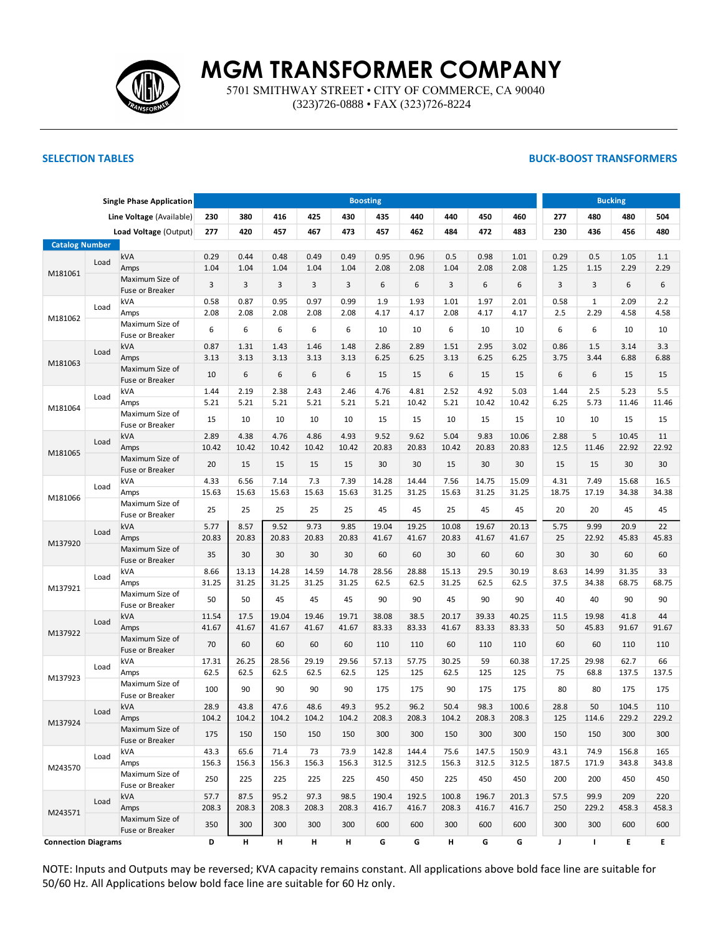

5701 SMITHWAY STREET • CITY OF COMMERCE, CA 90040 (323)726-0888 • FAX (323)726-8224

## **SELECTION TABLES BUCK-BOOST TRANSFORMERS**

| <b>Single Phase Application</b> |      |                                    |       |       |       |       |       | <b>Boosting</b> |                |       |       |              | <b>Bucking</b> |              |       |       |  |
|---------------------------------|------|------------------------------------|-------|-------|-------|-------|-------|-----------------|----------------|-------|-------|--------------|----------------|--------------|-------|-------|--|
|                                 |      | Line Voltage (Available)           | 230   | 380   | 416   | 425   | 430   | 435             | 440            | 440   | 450   | 460          | 277            | 480          | 480   | 504   |  |
|                                 |      | Load Voltage (Output)              | 277   | 420   | 457   | 467   | 473   | 457             | 462            | 484   | 472   | 483          | 230            | 436          | 456   | 480   |  |
| <b>Catalog Number</b>           |      |                                    |       |       |       |       |       |                 |                |       |       |              |                |              |       |       |  |
|                                 |      | kVA                                | 0.29  | 0.44  | 0.48  | 0.49  | 0.49  | 0.95            | 0.96           | 0.5   | 0.98  | 1.01         | 0.29           | 0.5          | 1.05  | 1.1   |  |
| M181061                         | Load | Amps                               | 1.04  | 1.04  | 1.04  | 1.04  | 1.04  | 2.08            | 2.08           | 1.04  | 2.08  | 2.08         | 1.25           | 1.15         | 2.29  | 2.29  |  |
|                                 |      | Maximum Size of<br>Fuse or Breaker | 3     | 3     | 3     | 3     | 3     | 6               | 6              | 3     | 6     | 6            | 3              | 3            | 6     | 6     |  |
|                                 |      | kVA                                | 0.58  | 0.87  | 0.95  | 0.97  | 0.99  | 1.9             | 1.93           | 1.01  | 1.97  | 2.01         | 0.58           | $\mathbf{1}$ | 2.09  | 2.2   |  |
|                                 | Load | Amps                               | 2.08  | 2.08  | 2.08  | 2.08  | 2.08  | 4.17            | 4.17           | 2.08  | 4.17  | 4.17         | 2.5            | 2.29         | 4.58  | 4.58  |  |
| M181062                         |      | Maximum Size of<br>Fuse or Breaker | 6     | 6     | 6     | 6     | 6     | 10              | 10             | 6     | 10    | 10           | 6              | 6            | 10    | 10    |  |
|                                 |      | kVA                                | 0.87  | 1.31  | 1.43  | 1.46  | 1.48  | 2.86            | 2.89           | 1.51  | 2.95  | 3.02         | 0.86           | 1.5          | 3.14  | 3.3   |  |
|                                 | Load | Amps                               | 3.13  | 3.13  | 3.13  | 3.13  | 3.13  | 6.25            | 6.25           | 3.13  | 6.25  | 6.25         | 3.75           | 3.44         | 6.88  | 6.88  |  |
| M181063                         |      | Maximum Size of<br>Fuse or Breaker | 10    | 6     | 6     | 6     | 6     | 15              | 15             | 6     | 15    | 15           | 6              | 6            | 15    | 15    |  |
|                                 |      | kVA                                | 1.44  | 2.19  | 2.38  | 2.43  | 2.46  | 4.76            | 4.81           | 2.52  | 4.92  | 5.03         | 1.44           | 2.5          | 5.23  | 5.5   |  |
|                                 | Load | Amps                               | 5.21  | 5.21  | 5.21  | 5.21  | 5.21  | 5.21            | 10.42          | 5.21  | 10.42 | 10.42        | 6.25           | 5.73         | 11.46 | 11.46 |  |
| M181064                         |      | Maximum Size of<br>Fuse or Breaker | 15    | 10    | 10    | 10    | 10    | 15              | 15             | 10    | 15    | 15           | 10             | 10           | 15    | 15    |  |
|                                 |      | kVA                                | 2.89  | 4.38  | 4.76  | 4.86  | 4.93  | 9.52            | 9.62           | 5.04  | 9.83  | 10.06        | 2.88           | 5            | 10.45 | 11    |  |
|                                 | Load | Amps                               | 10.42 | 10.42 | 10.42 | 10.42 | 10.42 | 20.83           | 20.83          | 10.42 | 20.83 | 20.83        | 12.5           | 11.46        | 22.92 | 22.92 |  |
| M181065                         |      | Maximum Size of<br>Fuse or Breaker | 20    | 15    | 15    | 15    | 15    | 30              | 30             | 15    | 30    | 30           | 15             | 15           | 30    | 30    |  |
|                                 |      | kVA                                | 4.33  | 6.56  | 7.14  | 7.3   | 7.39  | 14.28           | 14.44          | 7.56  | 14.75 | 15.09        | 4.31           | 7.49         | 15.68 | 16.5  |  |
|                                 | Load | Amps                               | 15.63 | 15.63 | 15.63 | 15.63 | 15.63 | 31.25           | 31.25          | 15.63 | 31.25 | 31.25        | 18.75          | 17.19        | 34.38 | 34.38 |  |
| M181066                         |      | Maximum Size of                    |       |       |       |       |       |                 |                |       |       |              |                |              |       |       |  |
|                                 |      | Fuse or Breaker                    | 25    | 25    | 25    | 25    | 25    | 45              | 45             | 25    | 45    | 45           | 20             | 20           | 45    | 45    |  |
|                                 |      | kVA                                | 5.77  | 8.57  | 9.52  | 9.73  | 9.85  | 19.04           | 19.25          | 10.08 | 19.67 | 20.13        | 5.75           | 9.99         | 20.9  | 22    |  |
| M137920                         | Load | Amps                               | 20.83 | 20.83 | 20.83 | 20.83 | 20.83 | 41.67           | 41.67          | 20.83 | 41.67 | 41.67        | 25             | 22.92        | 45.83 | 45.83 |  |
|                                 |      | Maximum Size of<br>Fuse or Breaker | 35    | 30    | 30    | 30    | 30    | 60              | 60             | 30    | 60    | 60           | 30             | 30           | 60    | 60    |  |
|                                 |      | kVA                                | 8.66  | 13.13 | 14.28 | 14.59 | 14.78 | 28.56           | 28.88          | 15.13 | 29.5  | 30.19        | 8.63           | 14.99        | 31.35 | 33    |  |
|                                 | Load | Amps                               | 31.25 | 31.25 | 31.25 | 31.25 | 31.25 | 62.5            | 62.5           | 31.25 | 62.5  | 62.5         | 37.5           | 34.38        | 68.75 | 68.75 |  |
| M137921                         |      | Maximum Size of<br>Fuse or Breaker | 50    | 50    | 45    | 45    | 45    | 90              | 90             | 45    | 90    | 90           | 40             | 40           | 90    | 90    |  |
|                                 |      | kVA                                | 11.54 | 17.5  | 19.04 | 19.46 | 19.71 | 38.08           | 38.5           | 20.17 | 39.33 | 40.25        | 11.5           | 19.98        | 41.8  | 44    |  |
|                                 | Load | Amps                               | 41.67 | 41.67 | 41.67 | 41.67 | 41.67 | 83.33           | 83.33          | 41.67 | 83.33 | 83.33        | 50             | 45.83        | 91.67 | 91.67 |  |
| M137922                         |      | Maximum Size of<br>Fuse or Breaker | 70    | 60    | 60    | 60    | 60    | 110             | 110            | 60    | 110   | 110          | 60             | 60           | 110   | 110   |  |
|                                 |      | kVA                                | 17.31 | 26.25 | 28.56 | 29.19 | 29.56 | 57.13           | 57.75          | 30.25 | 59    | 60.38        | 17.25          | 29.98        | 62.7  | 66    |  |
| M137923                         | Load | Amps                               | 62.5  | 62.5  | 62.5  | 62.5  | 62.5  | 125             | 125            | 62.5  | 125   | 125          | 75             | 68.8         | 137.5 | 137.5 |  |
|                                 |      | Maximum Size of<br>Fuse or Breaker | 100   | 90    | 90    | 90    | 90    | 175             | 175            | 90    | 175   | 175          | 80             | 80           | 175   | 175   |  |
|                                 |      | <b>kVA</b>                         | 28.9  | 43.8  | 47.6  | 48.6  | 49.3  | 95.2            | 96.2           | 50.4  | 98.3  | 100.6        | 28.8           | 50           | 104.5 | 110   |  |
|                                 | Load | Amps                               | 104.2 | 104.2 | 104.2 | 104.2 | 104.2 | 208.3           | 208.3          | 104.2 | 208.3 | 208.3        | 125            | 114.6        | 229.2 | 229.2 |  |
| M137924                         |      | Maximum Size of<br>Fuse or Breaker | 175   | 150   | 150   | 150   | 150   | 300             | 300            | 150   | 300   | 300          | 150            | 150          | 300   | 300   |  |
|                                 |      | kVA                                | 43.3  | 65.6  | 71.4  | 73    | 73.9  | 142.8           | 144.4          | 75.6  | 147.5 | 150.9        | 43.1           | 74.9         | 156.8 | 165   |  |
|                                 | Load | Amps                               | 156.3 | 156.3 | 156.3 | 156.3 | 156.3 | 312.5           | 312.5          | 156.3 | 312.5 | 312.5        | 187.5          | 171.9        | 343.8 | 343.8 |  |
| M243570                         |      | Maximum Size of<br>Fuse or Breaker | 250   | 225   | 225   | 225   | 225   | 450             | 450            | 225   | 450   | 450          | 200            | 200          | 450   | 450   |  |
|                                 |      | kVA                                | 57.7  | 87.5  | 95.2  | 97.3  | 98.5  | 190.4           | 192.5          | 100.8 | 196.7 | 201.3        | 57.5           | 99.9         | 209   | 220   |  |
|                                 | Load | Amps                               | 208.3 | 208.3 | 208.3 | 208.3 | 208.3 | 416.7           | 416.7          | 208.3 | 416.7 | 416.7        | 250            | 229.2        | 458.3 | 458.3 |  |
| M243571                         |      | Maximum Size of<br>Fuse or Breaker | 350   | 300   | 300   | 300   | 300   | 600             | 600            | 300   | 600   | 600          | 300            | 300          | 600   | 600   |  |
| <b>Connection Diagrams</b>      |      | D                                  | Н.    | н     | H     | H     | G     | G               | $\mathsf{H}^+$ | G     | G     | $\mathbf{J}$ | $\mathbf{L}$   | E.           | E.    |       |  |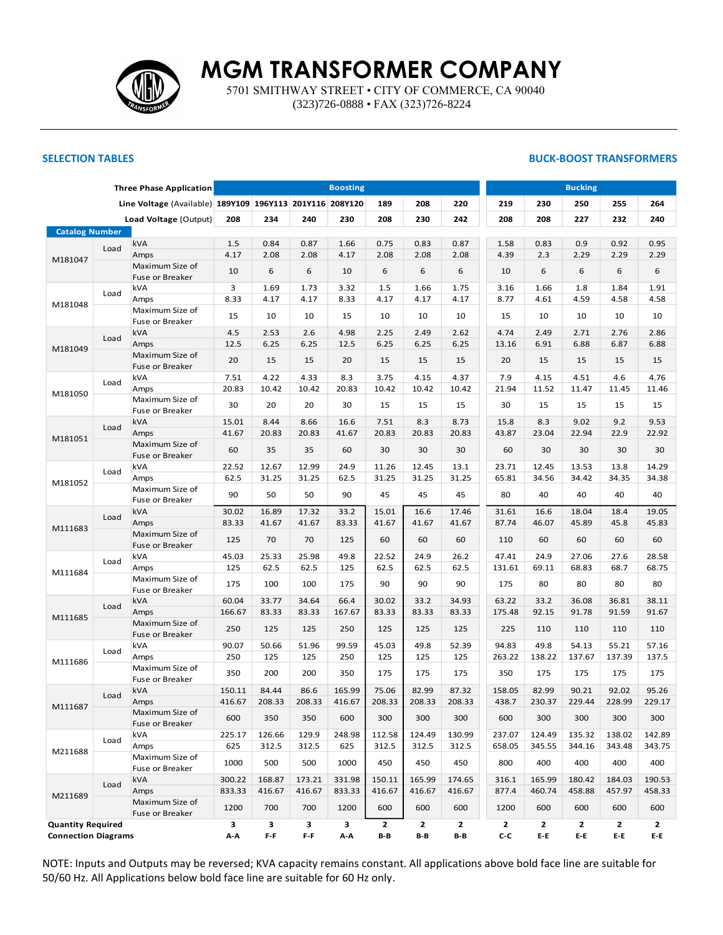

5701 SMITHWAY STREET • CITY OF COMMERCE, CA 90040 (323)726-0888 • FAX (323)726-8224

### **SELECTION TABLES BUCK-BOOST TRANSFORMERS**

| <b>Three Phase Application</b> |                                             |                                                          |              |              |              | <b>Boosting</b> | <b>Bucking</b> |              |              |              |              |              |              |              |
|--------------------------------|---------------------------------------------|----------------------------------------------------------|--------------|--------------|--------------|-----------------|----------------|--------------|--------------|--------------|--------------|--------------|--------------|--------------|
|                                |                                             | Line Voltage (Available) 189Y109 196Y113 201Y116 208Y120 |              |              |              |                 | 189            | 208          | 220          | 219          | 230          | 250          | 255          | 264          |
|                                |                                             | Load Voltage (Output)                                    | 208          | 234          | 240          | 230             | 208            | 230          | 242          | 208          | 208          | 227          | 232          | 240          |
| <b>Catalog Number</b>          |                                             |                                                          |              |              |              |                 |                |              |              |              |              |              |              |              |
|                                | Load                                        | kVA                                                      | 1.5          | 0.84         | 0.87         | 1.66            | 0.75           | 0.83         | 0.87         | 1.58         | 0.83         | 0.9          | 0.92         | 0.95         |
| M181047                        |                                             | Amps                                                     | 4.17         | 2.08         | 2.08         | 4.17            | 2.08           | 2.08         | 2.08         | 4.39         | 2.3          | 2.29         | 2.29         | 2.29         |
|                                |                                             | Maximum Size of<br>Fuse or Breaker                       | 10           | 6            | 6            | 10              | 6              | 6            | 6            | 10           | 6            | 6            | 6            | 6            |
|                                |                                             | kVA                                                      | 3            | 1.69         | 1.73         | 3.32            | 1.5            | 1.66         | 1.75         | 3.16         | 1.66         | 1.8          | 1.84         | 1.91         |
|                                | Load                                        | Amps                                                     | 8.33         | 4.17         | 4.17         | 8.33            | 4.17           | 4.17         | 4.17         | 8.77         | 4.61         | 4.59         | 4.58         | 4.58         |
| M181048                        |                                             | Maximum Size of<br>Fuse or Breaker                       | 15           | 10           | 10           | 15              | 10             | 10           | 10           | 15           | 10           | 10           | 10           | 10           |
|                                |                                             | kVA                                                      | 4.5          | 2.53         | 2.6          | 4.98            | 2.25           | 2.49         | 2.62         | 4.74         | 2.49         | 2.71         | 2.76         | 2.86         |
|                                | Load                                        | Amps                                                     | 12.5         | 6.25         | 6.25         | 12.5            | 6.25           | 6.25         | 6.25         | 13.16        | 6.91         | 6.88         | 6.87         | 6.88         |
| M181049                        |                                             | Maximum Size of<br>Fuse or Breaker                       | 20           | 15           | 15           | 20              | 15             | 15           | 15           | 20           | 15           | 15           | 15           | 15           |
|                                |                                             | kVA                                                      | 7.51         | 4.22         | 4.33         | 8.3             | 3.75           | 4.15         | 4.37         | 7.9          | 4.15         | 4.51         | 4.6          | 4.76         |
| Load                           |                                             | Amps                                                     | 20.83        | 10.42        | 10.42        | 20.83           | 10.42          | 10.42        | 10.42        | 21.94        | 11.52        | 11.47        | 11.45        | 11.46        |
| M181050                        |                                             | Maximum Size of                                          | 30           | 20           | 20           | 30              | 15             | 15           | 15           | 30           | 15           | 15           | 15           | 15           |
| Fuse or Breaker<br>kVA         |                                             | 15.01                                                    | 8.44         | 8.66         | 16.6         | 7.51            | 8.3            | 8.73         | 15.8         | 8.3          | 9.02         | 9.2          | 9.53         |              |
| Load<br>Amps                   |                                             |                                                          | 41.67        | 20.83        | 20.83        | 41.67           | 20.83          | 20.83        | 20.83        | 43.87        | 23.04        | 22.94        | 22.9         | 22.92        |
| M181051                        |                                             | Maximum Size of<br>Fuse or Breaker                       | 60           | 35           | 35           | 60              | 30             | 30           | 30           | 60           | 30           | 30           | 30           | 30           |
|                                |                                             | kVA                                                      | 22.52        | 12.67        | 12.99        | 24.9            | 11.26          | 12.45        | 13.1         | 23.71        | 12.45        | 13.53        | 13.8         | 14.29        |
| M181052                        | Load                                        | Amps                                                     | 62.5         | 31.25        | 31.25        | 62.5            | 31.25          | 31.25        | 31.25        | 65.81        | 34.56        | 34.42        | 34.35        | 34.38        |
|                                |                                             | Maximum Size of<br>Fuse or Breaker                       | 90           | 50           | 50           | 90              | 45             | 45           | 45           | 80           | 40           | 40           | 40           | 40           |
|                                |                                             | kVA                                                      | 30.02        | 16.89        | 17.32        | 33.2            | 15.01          | 16.6         | 17.46        | 31.61        | 16.6         | 18.04        | 18.4         | 19.05        |
|                                | Load                                        | Amps                                                     | 83.33        | 41.67        | 41.67        | 83.33           | 41.67          | 41.67        | 41.67        | 87.74        | 46.07        | 45.89        | 45.8         | 45.83        |
| M111683                        |                                             | Maximum Size of<br>Fuse or Breaker                       | 125          | 70           | 70           | 125             | 60             | 60           | 60           | 110          | 60           | 60           | 60           | 60           |
|                                |                                             | kVA                                                      | 45.03        | 25.33        | 25.98        | 49.8            | 22.52          | 24.9         | 26.2         | 47.41        | 24.9         | 27.06        | 27.6         | 28.58        |
|                                | Load                                        | Amps                                                     | 125          | 62.5         | 62.5         | 125             | 62.5           | 62.5         | 62.5         | 131.61       | 69.11        | 68.83        | 68.7         | 68.75        |
| M111684                        |                                             | Maximum Size of<br>Fuse or Breaker                       | 175          | 100          | 100          | 175             | 90             | 90           | 90           | 175          | 80           | 80           | 80           | 80           |
|                                |                                             | kVA                                                      | 60.04        | 33.77        | 34.64        | 66.4            | 30.02          | 33.2         | 34.93        | 63.22        | 33.2         | 36.08        | 36.81        | 38.11        |
|                                | Load                                        | Amps                                                     | 166.67       | 83.33        | 83.33        | 167.67          | 83.33          | 83.33        | 83.33        | 175.48       | 92.15        | 91.78        | 91.59        | 91.67        |
| M111685                        |                                             | Maximum Size of                                          |              |              |              |                 |                |              |              |              |              |              |              |              |
|                                |                                             | Fuse or Breaker<br>kVA                                   | 250<br>90.07 | 125<br>50.66 | 125<br>51.96 | 250<br>99.59    | 125<br>45.03   | 125<br>49.8  | 125<br>52.39 | 225<br>94.83 | 110<br>49.8  | 110<br>54.13 | 110<br>55.21 | 110<br>57.16 |
|                                | Load                                        | Amps                                                     | 250          | 125          | 125          | 250             | 125            | 125          | 125          | 263.22       | 138.22       | 137.67       | 137.39       | 137.5        |
| M111686                        |                                             | Maximum Size of                                          | 350          | 200          | 200          | 350             | 175            | 175          | 175          | 350          | 175          | 175          | 175          | 175          |
|                                |                                             | Fuse or Breaker<br>kVA                                   | 150.11       | 84.44        | 86.6         | 165.99          | 75.06          | 82.99        | 87.32        | 158.05       | 82.99        | 90.21        | 92.02        | 95.26        |
|                                | Load                                        | Amps                                                     | 416.67       | 208.33       | 208.33       | 416.67          | 208.33         | 208.33       | 208.33       | 438.7        | 230.37       | 229.44       | 228.99       | 229.17       |
| M111687                        |                                             | Maximum Size of<br>Fuse or Breaker                       | 600          | 350          | 350          | 600             | 300            | 300          | 300          | 600          | 300          | 300          | 300          | 300          |
|                                |                                             | kVA                                                      | 225.17       | 126.66       | 129.9        | 248.98          | 112.58         | 124.49       | 130.99       | 237.07       | 124.49       | 135.32       | 138.02       | 142.89       |
|                                | Load                                        | Amps                                                     | 625          | 312.5        | 312.5        | 625             | 312.5          | 312.5        | 312.5        | 658.05       | 345.55       | 344.16       | 343.48       | 343.75       |
| M211688                        |                                             | Maximum Size of<br>Fuse or Breaker                       | 1000         | 500          | 500          | 1000            | 450            | 450          | 450          | 800          | 400          | 400          | 400          | 400          |
|                                |                                             | kVA                                                      | 300.22       | 168.87       | 173.21       | 331.98          | 150.11         | 165.99       | 174.65       | 316.1        | 165.99       | 180.42       | 184.03       | 190.53       |
|                                | Load                                        | Amps                                                     | 833.33       | 416.67       | 416.67       | 833.33          | 416.67         | 416.67       | 416.67       | 877.4        | 460.74       | 458.88       | 457.97       | 458.33       |
| M211689                        |                                             | Maximum Size of                                          | 1200         | 700          | 700          | 1200            | 600            | 600          | 600          | 1200         | 600          | 600          | 600          | 600          |
|                                | Fuse or Breaker<br><b>Quantity Required</b> |                                                          | 3            | 3            | 3            | 3               | $\mathbf{2}$   | $\mathbf{2}$ | $\mathbf{2}$ | $\mathbf{2}$ | $\mathbf{2}$ | $\mathbf{2}$ | $\mathbf{2}$ | $\mathbf{2}$ |
| <b>Connection Diagrams</b>     |                                             | A-A                                                      | $F - F$      | $F - F$      | A-A          | $B - B$         | B-B            | B-B          | C-C          | E-E          | E-E          | E-E          | E-E          |              |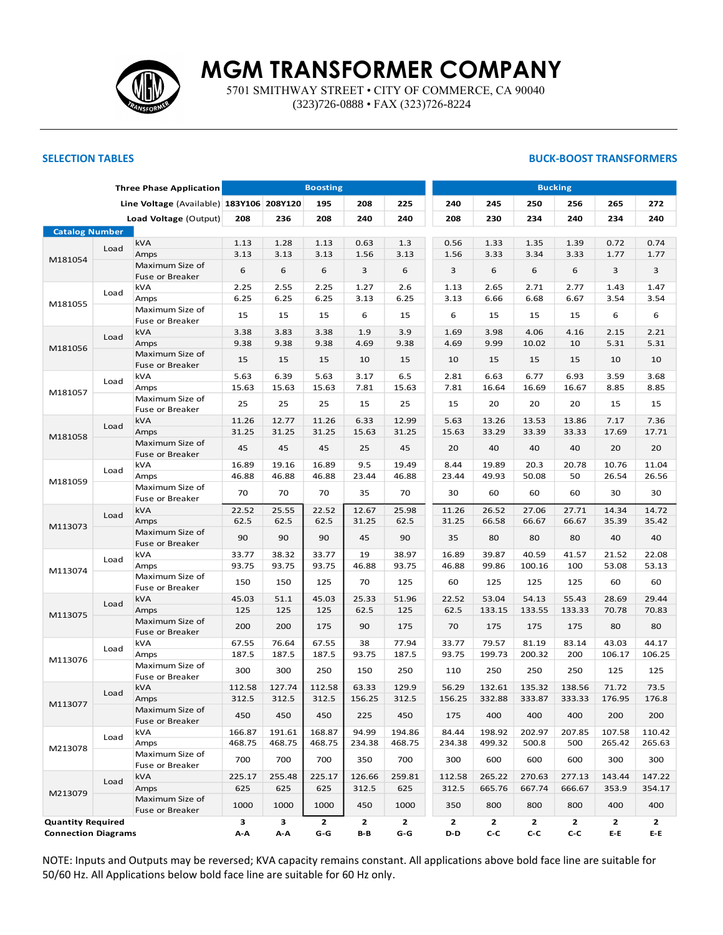

5701 SMITHWAY STREET • CITY OF COMMERCE, CA 90040 (323)726-0888 • FAX (323)726-8224

## **SELECTION TABLES BUCK-BOOST TRANSFORMERS**

|                                                        |      | <b>Three Phase Application</b>           |        |        | <b>Boosting</b> |        |              |              | <b>Bucking</b>                                 |        |                       |        |              |  |  |  |  |
|--------------------------------------------------------|------|------------------------------------------|--------|--------|-----------------|--------|--------------|--------------|------------------------------------------------|--------|-----------------------|--------|--------------|--|--|--|--|
|                                                        |      | Line Voltage (Available) 183Y106 208Y120 |        |        | 195             | 208    | 225          | 240          | 245                                            | 250    | 256                   | 265    | 272          |  |  |  |  |
|                                                        |      | Load Voltage (Output)                    | 208    | 236    | 208             | 240    | 240          | 208          | 230                                            | 234    | 240                   | 234    | 240          |  |  |  |  |
| <b>Catalog Number</b>                                  |      |                                          |        |        |                 |        |              |              |                                                |        |                       |        |              |  |  |  |  |
|                                                        |      | kVA                                      | 1.13   | 1.28   | 1.13            | 0.63   | 1.3          | 0.56         | 1.33                                           | 1.35   | 1.39                  | 0.72   | 0.74         |  |  |  |  |
|                                                        | Load | Amps                                     | 3.13   | 3.13   | 3.13            | 1.56   | 3.13         | 1.56         | 3.33                                           | 3.34   | 3.33                  | 1.77   | 1.77         |  |  |  |  |
| M181054                                                |      | Maximum Size of                          | 6      | 6      | 6               | 3      | 6            | 3            | 6                                              | 6      | 6                     | 3      | 3            |  |  |  |  |
|                                                        |      | Fuse or Breaker                          |        |        |                 |        |              |              |                                                |        |                       |        |              |  |  |  |  |
|                                                        | Load | kVA                                      | 2.25   | 2.55   | 2.25            | 1.27   | 2.6          | 1.13         | 2.65                                           | 2.71   | 2.77                  | 1.43   | 1.47         |  |  |  |  |
| M181055                                                |      | Amps                                     | 6.25   | 6.25   | 6.25            | 3.13   | 6.25         | 3.13         | 6.66                                           | 6.68   | 6.67                  | 3.54   | 3.54         |  |  |  |  |
|                                                        |      | Maximum Size of<br>Fuse or Breaker       | 15     | 15     | 15              | 6      | 15           | 6            | 15                                             | 15     | 15                    | 6      | 6            |  |  |  |  |
|                                                        | Load | kVA                                      | 3.38   | 3.83   | 3.38            | 1.9    | 3.9          | 1.69         | 3.98                                           | 4.06   | 4.16                  | 2.15   | 2.21         |  |  |  |  |
| M181056                                                |      | Amps                                     | 9.38   | 9.38   | 9.38            | 4.69   | 9.38         | 4.69         | 9.99                                           | 10.02  | 10                    | 5.31   | 5.31         |  |  |  |  |
|                                                        |      | Maximum Size of<br>Fuse or Breaker       | 15     | 15     | 15              | 10     | 15           | 10           | 15                                             | 15     | 15                    | 10     | 10           |  |  |  |  |
|                                                        |      | kVA                                      | 5.63   | 6.39   | 5.63            | 3.17   | 6.5          | 2.81         | 6.63                                           | 6.77   | 6.93                  | 3.59   | 3.68         |  |  |  |  |
| Load<br>Amps<br>M181057                                |      | 15.63                                    | 15.63  | 15.63  | 7.81            | 15.63  | 7.81         | 16.64        | 16.69                                          | 16.67  | 8.85                  | 8.85   |              |  |  |  |  |
|                                                        |      | Maximum Size of<br>Fuse or Breaker       | 25     | 25     | 25              | 15     | 25           | 15           | 20                                             | 20     | 20                    | 15     | 15           |  |  |  |  |
|                                                        |      | kVA                                      | 11.26  | 12.77  | 11.26           | 6.33   | 12.99        | 5.63         | 13.26                                          | 13.53  | 13.86                 | 7.17   | 7.36         |  |  |  |  |
|                                                        | Load | Amps                                     | 31.25  | 31.25  | 31.25           | 15.63  | 31.25        | 15.63        | 33.29                                          | 33.39  | 33.33                 | 17.69  | 17.71        |  |  |  |  |
| M181058                                                |      | Maximum Size of<br>Fuse or Breaker       | 45     | 45     | 45              | 25     | 45           | 20           | 40                                             | 40     | 40                    | 20     | 20           |  |  |  |  |
|                                                        |      | kVA                                      | 16.89  | 19.16  | 16.89           | 9.5    | 19.49        | 8.44         | 19.89                                          | 20.3   | 20.78                 | 10.76  | 11.04        |  |  |  |  |
|                                                        | Load | Amps                                     | 46.88  | 46.88  | 46.88           | 23.44  | 46.88        | 23.44        | 49.93                                          | 50.08  | 50                    | 26.54  | 26.56        |  |  |  |  |
| M181059                                                |      | Maximum Size of<br>Fuse or Breaker       | 70     | 70     | 70              | 35     | 70           | 30           | 60                                             | 60     | 60                    | 30     | 30           |  |  |  |  |
|                                                        |      | kVA                                      | 22.52  | 25.55  | 22.52           | 12.67  | 25.98        | 11.26        | 26.52                                          | 27.06  | 27.71                 | 14.34  | 14.72        |  |  |  |  |
|                                                        | Load | Amps                                     | 62.5   | 62.5   | 62.5            | 31.25  | 62.5         | 31.25        | 66.58                                          | 66.67  | 66.67                 | 35.39  | 35.42        |  |  |  |  |
| M113073                                                |      | Maximum Size of<br>Fuse or Breaker       | 90     | 90     | 90              | 45     | 90           | 35           | 80                                             | 80     | 80                    | 40     | 40           |  |  |  |  |
|                                                        |      | kVA                                      | 33.77  | 38.32  | 33.77           | 19     | 38.97        | 16.89        | 39.87                                          | 40.59  | 41.57                 | 21.52  | 22.08        |  |  |  |  |
|                                                        | Load | Amps                                     | 93.75  | 93.75  | 93.75           | 46.88  | 93.75        | 46.88        | 99.86                                          | 100.16 | 100                   | 53.08  | 53.13        |  |  |  |  |
| M113074                                                |      | Maximum Size of<br>Fuse or Breaker       | 150    | 150    | 125             | 70     | 125          | 60           | 125                                            | 125    | 125                   | 60     | 60           |  |  |  |  |
|                                                        |      | kVA                                      | 45.03  | 51.1   | 45.03           | 25.33  | 51.96        | 22.52        | 53.04                                          | 54.13  | 55.43                 | 28.69  | 29.44        |  |  |  |  |
|                                                        | Load | Amps                                     | 125    | 125    | 125             | 62.5   | 125          | 62.5         | 133.15                                         | 133.55 | 133.33                | 70.78  | 70.83        |  |  |  |  |
| M113075                                                |      | Maximum Size of<br>Fuse or Breaker       | 200    | 200    | 175             | 90     | 175          | 70           | 175                                            | 175    | 175                   | 80     | 80           |  |  |  |  |
|                                                        |      | kVA                                      | 67.55  | 76.64  | 67.55           | 38     | 77.94        | 33.77        | 79.57                                          | 81.19  | 83.14                 | 43.03  | 44.17        |  |  |  |  |
|                                                        | Load | Amps                                     | 187.5  | 187.5  | 187.5           | 93.75  | 187.5        | 93.75        | 199.73                                         | 200.32 | 200                   | 106.17 | 106.25       |  |  |  |  |
| M113076                                                |      | Maximum Size of<br>Fuse or Breaker       | 300    | 300    | 250             | 150    | 250          | 110          | 250                                            | 250    | 250                   | 125    | 125          |  |  |  |  |
|                                                        |      | kVA                                      | 112.58 | 127.74 | 112.58          | 63.33  | 129.9        | 56.29        | 132.61                                         | 135.32 | 138.56                | 71.72  | 73.5         |  |  |  |  |
|                                                        | Load | Amps                                     | 312.5  | 312.5  | 312.5           | 156.25 | 312.5        | 156.25       | 332.88                                         | 333.87 | 333.33                | 176.95 | 176.8        |  |  |  |  |
| M113077                                                |      | Maximum Size of<br>Fuse or Breaker       | 450    | 450    | 450             | 225    | 450          | 175          | 400                                            | 400    | 400                   | 200    | 200          |  |  |  |  |
|                                                        |      | kVA                                      | 166.87 | 191.61 | 168.87          | 94.99  | 194.86       | 84.44        | 198.92                                         | 202.97 | 207.85                | 107.58 | 110.42       |  |  |  |  |
|                                                        | Load | Amps                                     | 468.75 | 468.75 | 468.75          | 234.38 | 468.75       | 234.38       | 499.32                                         | 500.8  | 500                   | 265.42 | 265.63       |  |  |  |  |
| M213078                                                |      | Maximum Size of<br>Fuse or Breaker       | 700    | 700    | 700             | 350    | 700          | 300          | 600                                            | 600    | 600                   | 300    | 300          |  |  |  |  |
|                                                        |      | <b>kVA</b>                               | 225.17 | 255.48 | 225.17          | 126.66 | 259.81       | 112.58       | 265.22                                         | 270.63 | 277.13                | 143.44 | 147.22       |  |  |  |  |
|                                                        | Load | Amps                                     | 625    | 625    | 625             | 312.5  | 625          | 312.5        | 665.76                                         | 667.74 | 666.67                | 353.9  | 354.17       |  |  |  |  |
| M213079                                                |      | Maximum Size of                          | 1000   | 1000   | 1000            | 450    | 1000         | 350          | 800                                            | 800    | 800                   | 400    | 400          |  |  |  |  |
| Fuse or Breaker                                        |      |                                          |        | 3      | $\mathbf{2}$    |        | $\mathbf{2}$ | $\mathbf{2}$ | $\mathbf{2}$                                   |        | $\mathbf{2}$          |        | $\mathbf{2}$ |  |  |  |  |
| <b>Quantity Required</b><br><b>Connection Diagrams</b> |      | 3<br>A-A                                 | A-A    | G-G    | 2<br>$B - B$    | G-G    | D-D          | C-C          | $\mathbf{2}$<br>$\mathsf{c}\text{-}\mathsf{c}$ | C-C    | $\mathbf{2}$<br>$E-E$ | $E-E$  |              |  |  |  |  |